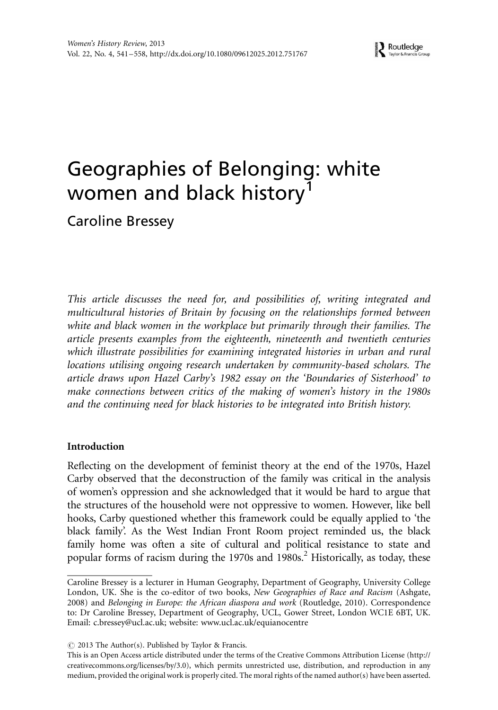# Geographies of Belonging: white women and black history<sup>1</sup>

Caroline Bressey

This article discusses the need for, and possibilities of, writing integrated and multicultural histories of Britain by focusing on the relationships formed between white and black women in the workplace but primarily through their families. The article presents examples from the eighteenth, nineteenth and twentieth centuries which illustrate possibilities for examining integrated histories in urban and rural locations utilising ongoing research undertaken by community-based scholars. The article draws upon Hazel Carby's 1982 essay on the 'Boundaries of Sisterhood' to make connections between critics of the making of women's history in the 1980s and the continuing need for black histories to be integrated into British history.

# Introduction

Reflecting on the development of feminist theory at the end of the 1970s, Hazel Carby observed that the deconstruction of the family was critical in the analysis of women's oppression and she acknowledged that it would be hard to argue that the structures of the household were not oppressive to women. However, like bell hooks, Carby questioned whether this framework could be equally applied to 'the black family'. As the West Indian Front Room project reminded us, the black family home was often a site of cultural and political resistance to state and popular forms of racism during the 1970s and  $1980s<sup>2</sup>$ . Historically, as today, these

Caroline Bressey is a lecturer in Human Geography, Department of Geography, University College London, UK. She is the co-editor of two books, New Geographies of Race and Racism (Ashgate, 2008) and Belonging in Europe: the African diaspora and work (Routledge, 2010). Correspondence to: Dr Caroline Bressey, Department of Geography, UCL, Gower Street, London WC1E 6BT, UK. Email: c.bressey@ucl.ac.uk; website: [www.ucl.ac.uk/equianocentre](http://www.ucl.ac.uk/equianocentre)

 $\odot$  2013 The Author(s). Published by Taylor & Francis.

This is an Open Access article distributed under the terms of the Creative Commons Attribution License (http:// creativecommons.org/licenses/by/3.0), which permits unrestricted use, distribution, and reproduction in any medium, provided the original work is properly cited. The moral rights of the named author(s) have been asserted.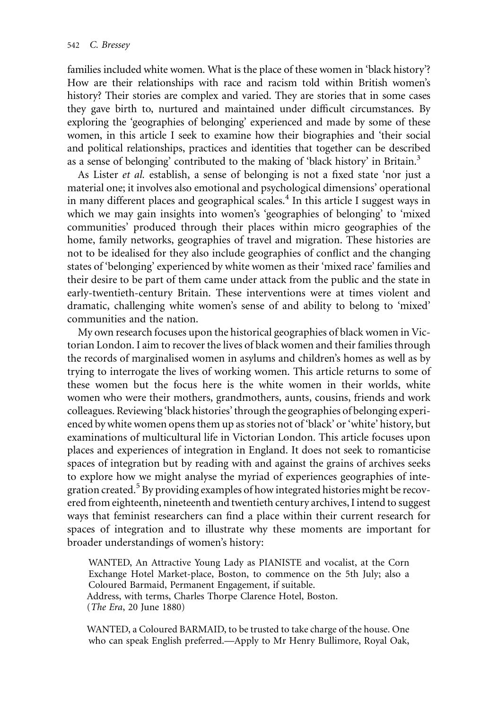families included white women. What is the place of these women in 'black history'? How are their relationships with race and racism told within British women's history? Their stories are complex and varied. They are stories that in some cases they gave birth to, nurtured and maintained under difficult circumstances. By exploring the 'geographies of belonging' experienced and made by some of these women, in this article I seek to examine how their biographies and 'their social and political relationships, practices and identities that together can be described as a sense of belonging' contributed to the making of 'black history' in Britain.3

As Lister et al. establish, a sense of belonging is not a fixed state 'nor just a material one; it involves also emotional and psychological dimensions' operational in many different places and geographical scales.<sup>4</sup> In this article I suggest ways in which we may gain insights into women's 'geographies of belonging' to 'mixed communities' produced through their places within micro geographies of the home, family networks, geographies of travel and migration. These histories are not to be idealised for they also include geographies of conflict and the changing states of 'belonging' experienced by white women as their 'mixed race' families and their desire to be part of them came under attack from the public and the state in early-twentieth-century Britain. These interventions were at times violent and dramatic, challenging white women's sense of and ability to belong to 'mixed' communities and the nation.

My own research focuses upon the historical geographies of black women in Victorian London. I aim to recover the lives of black women and their families through the records of marginalised women in asylums and children's homes as well as by trying to interrogate the lives of working women. This article returns to some of these women but the focus here is the white women in their worlds, white women who were their mothers, grandmothers, aunts, cousins, friends and work colleagues. Reviewing 'black histories' through the geographies of belonging experienced by white women opens them up as stories not of 'black' or 'white' history, but examinations of multicultural life in Victorian London. This article focuses upon places and experiences of integration in England. It does not seek to romanticise spaces of integration but by reading with and against the grains of archives seeks to explore how we might analyse the myriad of experiences geographies of integration created.<sup>5</sup> By providing examples of how integrated histories might be recovered from eighteenth, nineteenth and twentieth century archives, I intend to suggest ways that feminist researchers can find a place within their current research for spaces of integration and to illustrate why these moments are important for broader understandings of women's history:

WANTED, An Attractive Young Lady as PIANISTE and vocalist, at the Corn Exchange Hotel Market-place, Boston, to commence on the 5th July; also a Coloured Barmaid, Permanent Engagement, if suitable. Address, with terms, Charles Thorpe Clarence Hotel, Boston. (The Era, 20 June 1880)

WANTED, a Coloured BARMAID, to be trusted to take charge of the house. One who can speak English preferred.—Apply to Mr Henry Bullimore, Royal Oak,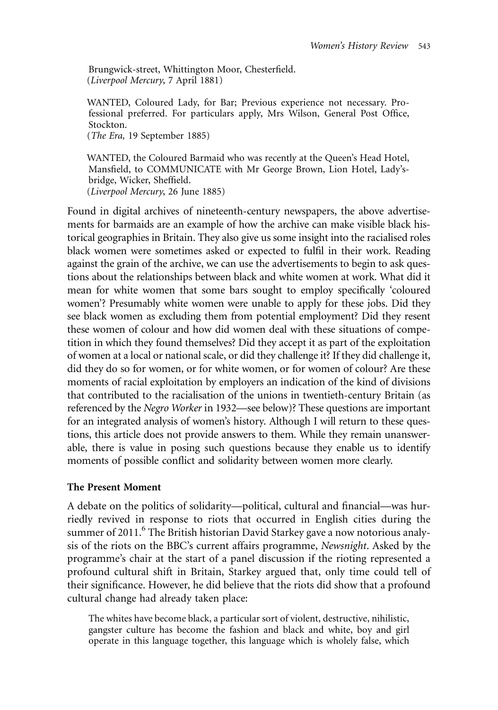Brungwick-street, Whittington Moor, Chesterfield. (Liverpool Mercury, 7 April 1881)

WANTED, Coloured Lady, for Bar; Previous experience not necessary. Professional preferred. For particulars apply, Mrs Wilson, General Post Office, Stockton.

(The Era, 19 September 1885)

WANTED, the Coloured Barmaid who was recently at the Queen's Head Hotel, Mansfield, to COMMUNICATE with Mr George Brown, Lion Hotel, Lady'sbridge, Wicker, Sheffield. (Liverpool Mercury, 26 June 1885)

Found in digital archives of nineteenth-century newspapers, the above advertisements for barmaids are an example of how the archive can make visible black historical geographies in Britain. They also give us some insight into the racialised roles black women were sometimes asked or expected to fulfil in their work. Reading against the grain of the archive, we can use the advertisements to begin to ask questions about the relationships between black and white women at work. What did it mean for white women that some bars sought to employ specifically 'coloured women'? Presumably white women were unable to apply for these jobs. Did they see black women as excluding them from potential employment? Did they resent these women of colour and how did women deal with these situations of competition in which they found themselves? Did they accept it as part of the exploitation of women at a local or national scale, or did they challenge it? If they did challenge it, did they do so for women, or for white women, or for women of colour? Are these moments of racial exploitation by employers an indication of the kind of divisions that contributed to the racialisation of the unions in twentieth-century Britain (as referenced by the Negro Worker in 1932—see below)? These questions are important for an integrated analysis of women's history. Although I will return to these questions, this article does not provide answers to them. While they remain unanswerable, there is value in posing such questions because they enable us to identify moments of possible conflict and solidarity between women more clearly.

#### The Present Moment

A debate on the politics of solidarity—political, cultural and financial—was hurriedly revived in response to riots that occurred in English cities during the summer of 2011.<sup>6</sup> The British historian David Starkey gave a now notorious analysis of the riots on the BBC's current affairs programme, Newsnight. Asked by the programme's chair at the start of a panel discussion if the rioting represented a profound cultural shift in Britain, Starkey argued that, only time could tell of their significance. However, he did believe that the riots did show that a profound cultural change had already taken place:

The whites have become black, a particular sort of violent, destructive, nihilistic, gangster culture has become the fashion and black and white, boy and girl operate in this language together, this language which is wholely false, which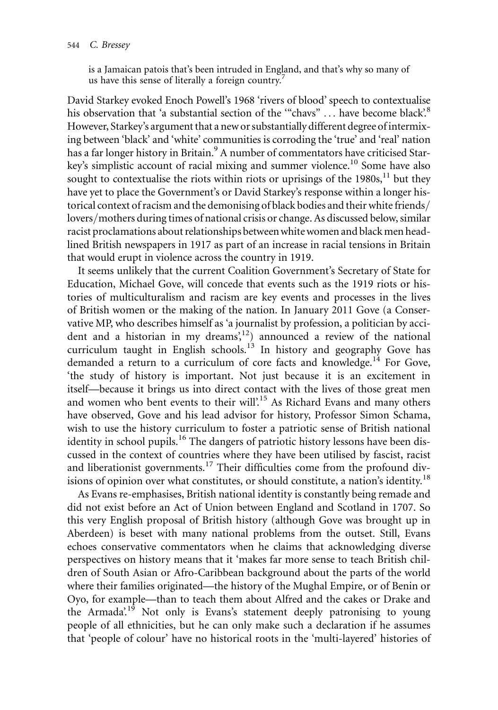#### 544 C. Bressey

is a Jamaican patois that's been intruded in England, and that's why so many of us have this sense of literally a foreign country.<sup>7</sup>

David Starkey evoked Enoch Powell's 1968 'rivers of blood' speech to contextualise his observation that 'a substantial section of the "chavs"  $\ldots$  have become black'.<sup>8</sup> However, Starkey's argument that a new or substantially different degree of intermixing between 'black' and 'white' communities is corroding the 'true' and 'real' nation has a far longer history in Britain.<sup>9</sup> A number of commentators have criticised Starkey's simplistic account of racial mixing and summer violence.<sup>10</sup> Some have also sought to contextualise the riots within riots or uprisings of the  $1980s$ ,<sup>11</sup> but they have yet to place the Government's or David Starkey's response within a longer historical context of racism and the demonising of black bodies and their white friends/ lovers/mothers during times of national crisis or change. As discussed below, similar racist proclamations about relationships betweenwhite women and black men headlined British newspapers in 1917 as part of an increase in racial tensions in Britain that would erupt in violence across the country in 1919.

It seems unlikely that the current Coalition Government's Secretary of State for Education, Michael Gove, will concede that events such as the 1919 riots or histories of multiculturalism and racism are key events and processes in the lives of British women or the making of the nation. In January 2011 Gove (a Conservative MP, who describes himself as 'a journalist by profession, a politician by accident and a historian in my dreams,<sup>12</sup>) announced a review of the national curriculum taught in English schools.<sup>13</sup> In history and geography Gove has demanded a return to a curriculum of core facts and knowledge.<sup>14</sup> For Gove, 'the study of history is important. Not just because it is an excitement in itself—because it brings us into direct contact with the lives of those great men and women who bent events to their will'.<sup>15</sup> As Richard Evans and many others have observed, Gove and his lead advisor for history, Professor Simon Schama, wish to use the history curriculum to foster a patriotic sense of British national identity in school pupils.<sup>16</sup> The dangers of patriotic history lessons have been discussed in the context of countries where they have been utilised by fascist, racist and liberationist governments.<sup>17</sup> Their difficulties come from the profound divisions of opinion over what constitutes, or should constitute, a nation's identity.<sup>18</sup>

As Evans re-emphasises, British national identity is constantly being remade and did not exist before an Act of Union between England and Scotland in 1707. So this very English proposal of British history (although Gove was brought up in Aberdeen) is beset with many national problems from the outset. Still, Evans echoes conservative commentators when he claims that acknowledging diverse perspectives on history means that it 'makes far more sense to teach British children of South Asian or Afro-Caribbean background about the parts of the world where their families originated—the history of the Mughal Empire, or of Benin or Oyo, for example—than to teach them about Alfred and the cakes or Drake and the Armada'.<sup>19</sup> Not only is Evans's statement deeply patronising to young people of all ethnicities, but he can only make such a declaration if he assumes that 'people of colour' have no historical roots in the 'multi-layered' histories of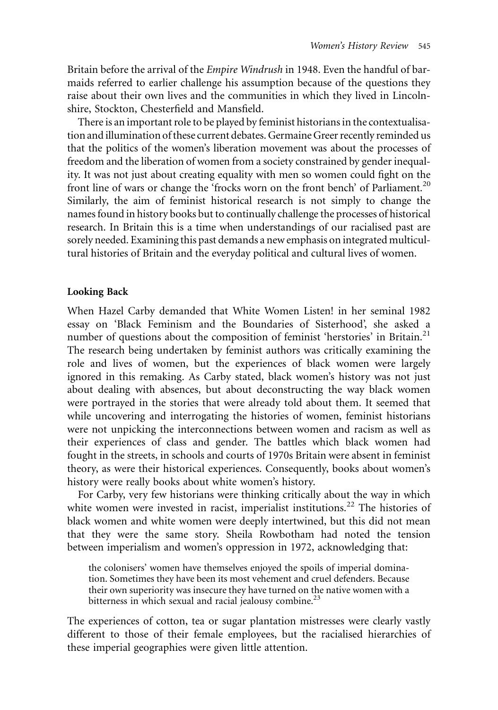Britain before the arrival of the Empire Windrush in 1948. Even the handful of barmaids referred to earlier challenge his assumption because of the questions they raise about their own lives and the communities in which they lived in Lincolnshire, Stockton, Chesterfield and Mansfield.

There is an important role to be played by feminist historians in the contextualisation and illumination of these current debates. Germaine Greer recently reminded us that the politics of the women's liberation movement was about the processes of freedom and the liberation of women from a society constrained by gender inequality. It was not just about creating equality with men so women could fight on the front line of wars or change the 'frocks worn on the front bench' of Parliament.<sup>20</sup> Similarly, the aim of feminist historical research is not simply to change the names found in history books but to continually challenge the processes of historical research. In Britain this is a time when understandings of our racialised past are sorely needed. Examining this past demands a new emphasis on integrated multicultural histories of Britain and the everyday political and cultural lives of women.

### Looking Back

When Hazel Carby demanded that White Women Listen! in her seminal 1982 essay on 'Black Feminism and the Boundaries of Sisterhood', she asked a number of questions about the composition of feminist 'herstories' in Britain.<sup>21</sup> The research being undertaken by feminist authors was critically examining the role and lives of women, but the experiences of black women were largely ignored in this remaking. As Carby stated, black women's history was not just about dealing with absences, but about deconstructing the way black women were portrayed in the stories that were already told about them. It seemed that while uncovering and interrogating the histories of women, feminist historians were not unpicking the interconnections between women and racism as well as their experiences of class and gender. The battles which black women had fought in the streets, in schools and courts of 1970s Britain were absent in feminist theory, as were their historical experiences. Consequently, books about women's history were really books about white women's history.

For Carby, very few historians were thinking critically about the way in which white women were invested in racist, imperialist institutions.<sup>22</sup> The histories of black women and white women were deeply intertwined, but this did not mean that they were the same story. Sheila Rowbotham had noted the tension between imperialism and women's oppression in 1972, acknowledging that:

the colonisers' women have themselves enjoyed the spoils of imperial domination. Sometimes they have been its most vehement and cruel defenders. Because their own superiority was insecure they have turned on the native women with a bitterness in which sexual and racial jealousy combine.<sup>23</sup>

The experiences of cotton, tea or sugar plantation mistresses were clearly vastly different to those of their female employees, but the racialised hierarchies of these imperial geographies were given little attention.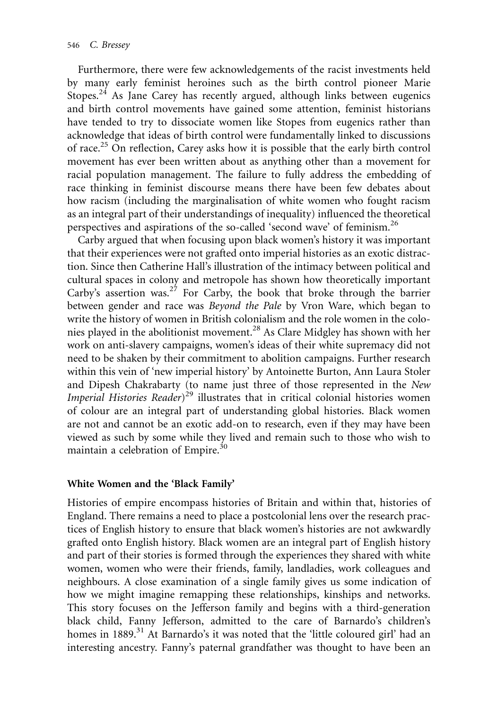Furthermore, there were few acknowledgements of the racist investments held by many early feminist heroines such as the birth control pioneer Marie Stopes.<sup>24</sup> As Jane Carey has recently argued, although links between eugenics and birth control movements have gained some attention, feminist historians have tended to try to dissociate women like Stopes from eugenics rather than acknowledge that ideas of birth control were fundamentally linked to discussions of race.25 On reflection, Carey asks how it is possible that the early birth control movement has ever been written about as anything other than a movement for racial population management. The failure to fully address the embedding of race thinking in feminist discourse means there have been few debates about how racism (including the marginalisation of white women who fought racism as an integral part of their understandings of inequality) influenced the theoretical perspectives and aspirations of the so-called 'second wave' of feminism.<sup>26</sup>

Carby argued that when focusing upon black women's history it was important that their experiences were not grafted onto imperial histories as an exotic distraction. Since then Catherine Hall's illustration of the intimacy between political and cultural spaces in colony and metropole has shown how theoretically important Carby's assertion was.<sup>27</sup> For Carby, the book that broke through the barrier between gender and race was Beyond the Pale by Vron Ware, which began to write the history of women in British colonialism and the role women in the colonies played in the abolitionist movement.<sup>28</sup> As Clare Midgley has shown with her work on anti-slavery campaigns, women's ideas of their white supremacy did not need to be shaken by their commitment to abolition campaigns. Further research within this vein of 'new imperial history' by Antoinette Burton, Ann Laura Stoler and Dipesh Chakrabarty (to name just three of those represented in the New Imperial Histories Reader)<sup>29</sup> illustrates that in critical colonial histories women of colour are an integral part of understanding global histories. Black women are not and cannot be an exotic add-on to research, even if they may have been viewed as such by some while they lived and remain such to those who wish to maintain a celebration of Empire.<sup>30</sup>

# White Women and the 'Black Family'

Histories of empire encompass histories of Britain and within that, histories of England. There remains a need to place a postcolonial lens over the research practices of English history to ensure that black women's histories are not awkwardly grafted onto English history. Black women are an integral part of English history and part of their stories is formed through the experiences they shared with white women, women who were their friends, family, landladies, work colleagues and neighbours. A close examination of a single family gives us some indication of how we might imagine remapping these relationships, kinships and networks. This story focuses on the Jefferson family and begins with a third-generation black child, Fanny Jefferson, admitted to the care of Barnardo's children's homes in 1889.<sup>31</sup> At Barnardo's it was noted that the 'little coloured girl' had an interesting ancestry. Fanny's paternal grandfather was thought to have been an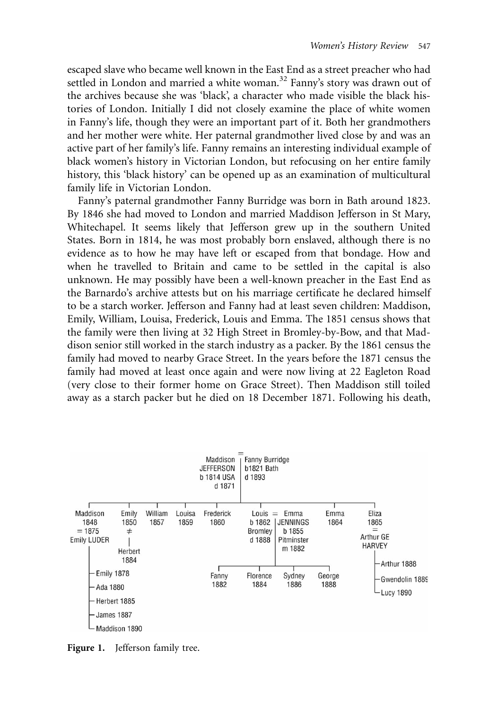escaped slave who became well known in the East End as a street preacher who had settled in London and married a white woman.<sup>32</sup> Fanny's story was drawn out of the archives because she was 'black', a character who made visible the black histories of London. Initially I did not closely examine the place of white women in Fanny's life, though they were an important part of it. Both her grandmothers and her mother were white. Her paternal grandmother lived close by and was an active part of her family's life. Fanny remains an interesting individual example of black women's history in Victorian London, but refocusing on her entire family history, this 'black history' can be opened up as an examination of multicultural family life in Victorian London.

Fanny's paternal grandmother Fanny Burridge was born in Bath around 1823. By 1846 she had moved to London and married Maddison Jefferson in St Mary, Whitechapel. It seems likely that Jefferson grew up in the southern United States. Born in 1814, he was most probably born enslaved, although there is no evidence as to how he may have left or escaped from that bondage. How and when he travelled to Britain and came to be settled in the capital is also unknown. He may possibly have been a well-known preacher in the East End as the Barnardo's archive attests but on his marriage certificate he declared himself to be a starch worker. Jefferson and Fanny had at least seven children: Maddison, Emily, William, Louisa, Frederick, Louis and Emma. The 1851 census shows that the family were then living at 32 High Street in Bromley-by-Bow, and that Maddison senior still worked in the starch industry as a packer. By the 1861 census the family had moved to nearby Grace Street. In the years before the 1871 census the family had moved at least once again and were now living at 22 Eagleton Road (very close to their former home on Grace Street). Then Maddison still toiled away as a starch packer but he died on 18 December 1871. Following his death,



Figure 1. Jefferson family tree.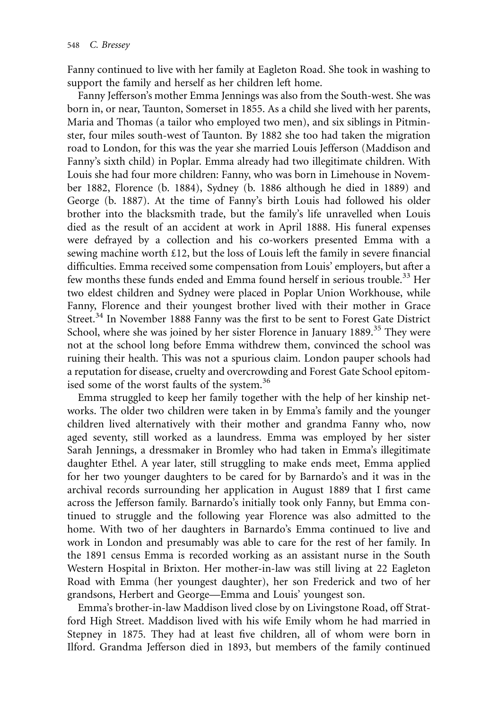Fanny continued to live with her family at Eagleton Road. She took in washing to support the family and herself as her children left home.

Fanny Jefferson's mother Emma Jennings was also from the South-west. She was born in, or near, Taunton, Somerset in 1855. As a child she lived with her parents, Maria and Thomas (a tailor who employed two men), and six siblings in Pitminster, four miles south-west of Taunton. By 1882 she too had taken the migration road to London, for this was the year she married Louis Jefferson (Maddison and Fanny's sixth child) in Poplar. Emma already had two illegitimate children. With Louis she had four more children: Fanny, who was born in Limehouse in November 1882, Florence (b. 1884), Sydney (b. 1886 although he died in 1889) and George (b. 1887). At the time of Fanny's birth Louis had followed his older brother into the blacksmith trade, but the family's life unravelled when Louis died as the result of an accident at work in April 1888. His funeral expenses were defrayed by a collection and his co-workers presented Emma with a sewing machine worth  $\pounds$ 12, but the loss of Louis left the family in severe financial difficulties. Emma received some compensation from Louis' employers, but after a few months these funds ended and Emma found herself in serious trouble.<sup>33</sup> Her two eldest children and Sydney were placed in Poplar Union Workhouse, while Fanny, Florence and their youngest brother lived with their mother in Grace Street.<sup>34</sup> In November 1888 Fanny was the first to be sent to Forest Gate District School, where she was joined by her sister Florence in January 1889.<sup>35</sup> They were not at the school long before Emma withdrew them, convinced the school was ruining their health. This was not a spurious claim. London pauper schools had a reputation for disease, cruelty and overcrowding and Forest Gate School epitomised some of the worst faults of the system.<sup>36</sup>

Emma struggled to keep her family together with the help of her kinship networks. The older two children were taken in by Emma's family and the younger children lived alternatively with their mother and grandma Fanny who, now aged seventy, still worked as a laundress. Emma was employed by her sister Sarah Jennings, a dressmaker in Bromley who had taken in Emma's illegitimate daughter Ethel. A year later, still struggling to make ends meet, Emma applied for her two younger daughters to be cared for by Barnardo's and it was in the archival records surrounding her application in August 1889 that I first came across the Jefferson family. Barnardo's initially took only Fanny, but Emma continued to struggle and the following year Florence was also admitted to the home. With two of her daughters in Barnardo's Emma continued to live and work in London and presumably was able to care for the rest of her family. In the 1891 census Emma is recorded working as an assistant nurse in the South Western Hospital in Brixton. Her mother-in-law was still living at 22 Eagleton Road with Emma (her youngest daughter), her son Frederick and two of her grandsons, Herbert and George—Emma and Louis' youngest son.

Emma's brother-in-law Maddison lived close by on Livingstone Road, off Stratford High Street. Maddison lived with his wife Emily whom he had married in Stepney in 1875. They had at least five children, all of whom were born in Ilford. Grandma Jefferson died in 1893, but members of the family continued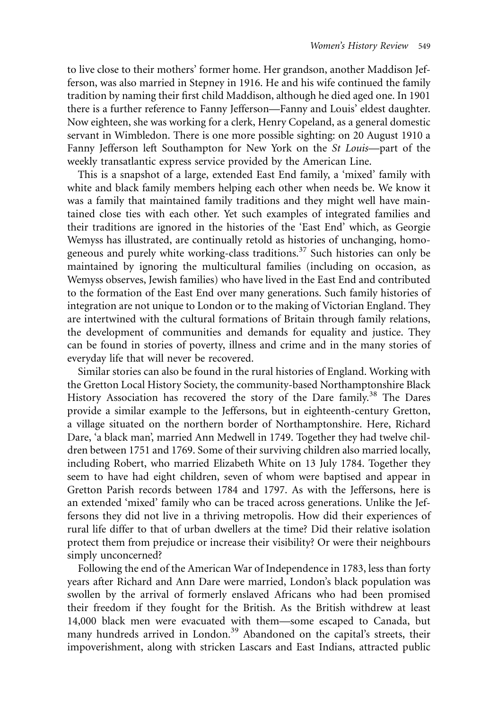to live close to their mothers' former home. Her grandson, another Maddison Jefferson, was also married in Stepney in 1916. He and his wife continued the family tradition by naming their first child Maddison, although he died aged one. In 1901 there is a further reference to Fanny Jefferson—Fanny and Louis' eldest daughter. Now eighteen, she was working for a clerk, Henry Copeland, as a general domestic servant in Wimbledon. There is one more possible sighting: on 20 August 1910 a Fanny Jefferson left Southampton for New York on the St Louis—part of the weekly transatlantic express service provided by the American Line.

This is a snapshot of a large, extended East End family, a 'mixed' family with white and black family members helping each other when needs be. We know it was a family that maintained family traditions and they might well have maintained close ties with each other. Yet such examples of integrated families and their traditions are ignored in the histories of the 'East End' which, as Georgie Wemyss has illustrated, are continually retold as histories of unchanging, homogeneous and purely white working-class traditions.<sup>37</sup> Such histories can only be maintained by ignoring the multicultural families (including on occasion, as Wemyss observes, Jewish families) who have lived in the East End and contributed to the formation of the East End over many generations. Such family histories of integration are not unique to London or to the making of Victorian England. They are intertwined with the cultural formations of Britain through family relations, the development of communities and demands for equality and justice. They can be found in stories of poverty, illness and crime and in the many stories of everyday life that will never be recovered.

Similar stories can also be found in the rural histories of England. Working with the Gretton Local History Society, the community-based Northamptonshire Black History Association has recovered the story of the Dare family.<sup>38</sup> The Dares provide a similar example to the Jeffersons, but in eighteenth-century Gretton, a village situated on the northern border of Northamptonshire. Here, Richard Dare, 'a black man', married Ann Medwell in 1749. Together they had twelve children between 1751 and 1769. Some of their surviving children also married locally, including Robert, who married Elizabeth White on 13 July 1784. Together they seem to have had eight children, seven of whom were baptised and appear in Gretton Parish records between 1784 and 1797. As with the Jeffersons, here is an extended 'mixed' family who can be traced across generations. Unlike the Jeffersons they did not live in a thriving metropolis. How did their experiences of rural life differ to that of urban dwellers at the time? Did their relative isolation protect them from prejudice or increase their visibility? Or were their neighbours simply unconcerned?

Following the end of the American War of Independence in 1783, less than forty years after Richard and Ann Dare were married, London's black population was swollen by the arrival of formerly enslaved Africans who had been promised their freedom if they fought for the British. As the British withdrew at least 14,000 black men were evacuated with them—some escaped to Canada, but many hundreds arrived in London.<sup>39</sup> Abandoned on the capital's streets, their impoverishment, along with stricken Lascars and East Indians, attracted public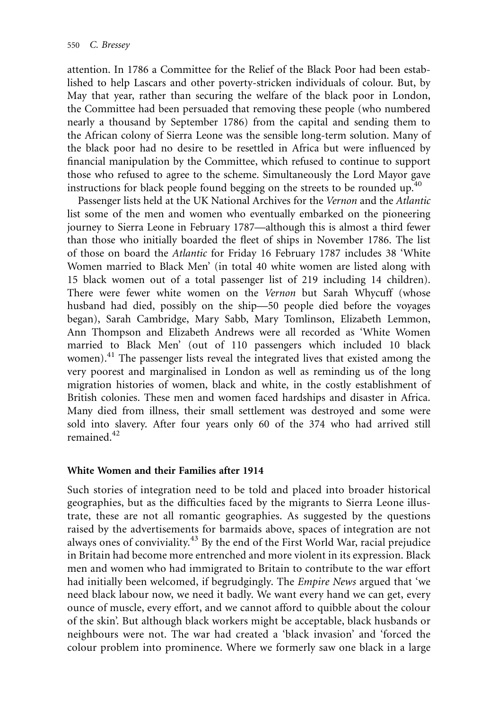attention. In 1786 a Committee for the Relief of the Black Poor had been established to help Lascars and other poverty-stricken individuals of colour. But, by May that year, rather than securing the welfare of the black poor in London, the Committee had been persuaded that removing these people (who numbered nearly a thousand by September 1786) from the capital and sending them to the African colony of Sierra Leone was the sensible long-term solution. Many of the black poor had no desire to be resettled in Africa but were influenced by financial manipulation by the Committee, which refused to continue to support those who refused to agree to the scheme. Simultaneously the Lord Mayor gave instructions for black people found begging on the streets to be rounded up.<sup>40</sup>

Passenger lists held at the UK National Archives for the Vernon and the Atlantic list some of the men and women who eventually embarked on the pioneering journey to Sierra Leone in February 1787—although this is almost a third fewer than those who initially boarded the fleet of ships in November 1786. The list of those on board the Atlantic for Friday 16 February 1787 includes 38 'White Women married to Black Men' (in total 40 white women are listed along with 15 black women out of a total passenger list of 219 including 14 children). There were fewer white women on the Vernon but Sarah Whycuff (whose husband had died, possibly on the ship—50 people died before the voyages began), Sarah Cambridge, Mary Sabb, Mary Tomlinson, Elizabeth Lemmon, Ann Thompson and Elizabeth Andrews were all recorded as 'White Women married to Black Men' (out of 110 passengers which included 10 black women).<sup>41</sup> The passenger lists reveal the integrated lives that existed among the very poorest and marginalised in London as well as reminding us of the long migration histories of women, black and white, in the costly establishment of British colonies. These men and women faced hardships and disaster in Africa. Many died from illness, their small settlement was destroyed and some were sold into slavery. After four years only 60 of the 374 who had arrived still remained. $42$ 

# White Women and their Families after 1914

Such stories of integration need to be told and placed into broader historical geographies, but as the difficulties faced by the migrants to Sierra Leone illustrate, these are not all romantic geographies. As suggested by the questions raised by the advertisements for barmaids above, spaces of integration are not always ones of conviviality.<sup>43</sup> By the end of the First World War, racial prejudice in Britain had become more entrenched and more violent in its expression. Black men and women who had immigrated to Britain to contribute to the war effort had initially been welcomed, if begrudgingly. The Empire News argued that 'we need black labour now, we need it badly. We want every hand we can get, every ounce of muscle, every effort, and we cannot afford to quibble about the colour of the skin'. But although black workers might be acceptable, black husbands or neighbours were not. The war had created a 'black invasion' and 'forced the colour problem into prominence. Where we formerly saw one black in a large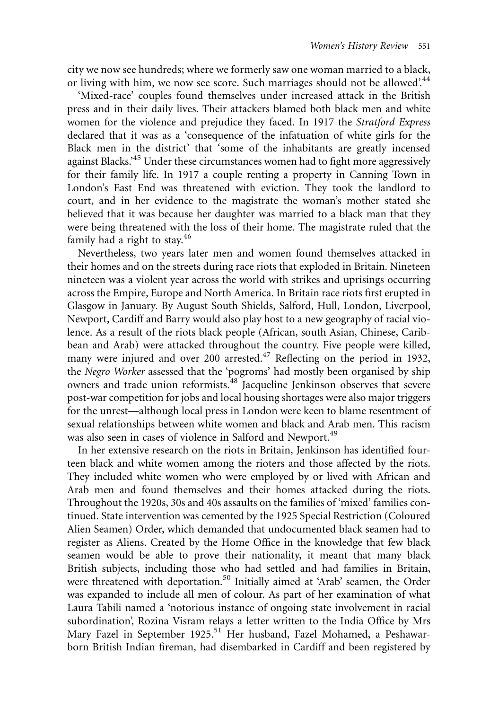city we now see hundreds; where we formerly saw one woman married to a black, or living with him, we now see score. Such marriages should not be allowed'.<sup>44</sup>

'Mixed-race' couples found themselves under increased attack in the British press and in their daily lives. Their attackers blamed both black men and white women for the violence and prejudice they faced. In 1917 the Stratford Express declared that it was as a 'consequence of the infatuation of white girls for the Black men in the district' that 'some of the inhabitants are greatly incensed against Blacks.'45 Under these circumstances women had to fight more aggressively for their family life. In 1917 a couple renting a property in Canning Town in London's East End was threatened with eviction. They took the landlord to court, and in her evidence to the magistrate the woman's mother stated she believed that it was because her daughter was married to a black man that they were being threatened with the loss of their home. The magistrate ruled that the family had a right to stay. $46$ 

Nevertheless, two years later men and women found themselves attacked in their homes and on the streets during race riots that exploded in Britain. Nineteen nineteen was a violent year across the world with strikes and uprisings occurring across the Empire, Europe and North America. In Britain race riots first erupted in Glasgow in January. By August South Shields, Salford, Hull, London, Liverpool, Newport, Cardiff and Barry would also play host to a new geography of racial violence. As a result of the riots black people (African, south Asian, Chinese, Caribbean and Arab) were attacked throughout the country. Five people were killed, many were injured and over 200 arrested.<sup>47</sup> Reflecting on the period in 1932, the Negro Worker assessed that the 'pogroms' had mostly been organised by ship owners and trade union reformists.<sup>48</sup> Jacqueline Jenkinson observes that severe post-war competition for jobs and local housing shortages were also major triggers for the unrest—although local press in London were keen to blame resentment of sexual relationships between white women and black and Arab men. This racism was also seen in cases of violence in Salford and Newport.<sup>49</sup>

In her extensive research on the riots in Britain, Jenkinson has identified fourteen black and white women among the rioters and those affected by the riots. They included white women who were employed by or lived with African and Arab men and found themselves and their homes attacked during the riots. Throughout the 1920s, 30s and 40s assaults on the families of 'mixed' families continued. State intervention was cemented by the 1925 Special Restriction (Coloured Alien Seamen) Order, which demanded that undocumented black seamen had to register as Aliens. Created by the Home Office in the knowledge that few black seamen would be able to prove their nationality, it meant that many black British subjects, including those who had settled and had families in Britain, were threatened with deportation.<sup>50</sup> Initially aimed at 'Arab' seamen, the Order was expanded to include all men of colour. As part of her examination of what Laura Tabili named a 'notorious instance of ongoing state involvement in racial subordination', Rozina Visram relays a letter written to the India Office by Mrs Mary Fazel in September 1925.<sup>51</sup> Her husband, Fazel Mohamed, a Peshawarborn British Indian fireman, had disembarked in Cardiff and been registered by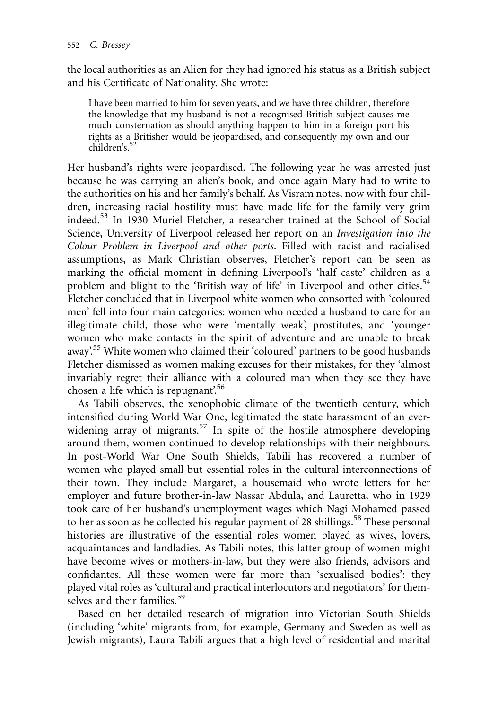the local authorities as an Alien for they had ignored his status as a British subject and his Certificate of Nationality. She wrote:

I have been married to him for seven years, and we have three children, therefore the knowledge that my husband is not a recognised British subject causes me much consternation as should anything happen to him in a foreign port his rights as a Britisher would be jeopardised, and consequently my own and our children's.<sup>52</sup>

Her husband's rights were jeopardised. The following year he was arrested just because he was carrying an alien's book, and once again Mary had to write to the authorities on his and her family's behalf. As Visram notes, now with four children, increasing racial hostility must have made life for the family very grim indeed.<sup>53</sup> In 1930 Muriel Fletcher, a researcher trained at the School of Social Science, University of Liverpool released her report on an Investigation into the Colour Problem in Liverpool and other ports. Filled with racist and racialised assumptions, as Mark Christian observes, Fletcher's report can be seen as marking the official moment in defining Liverpool's 'half caste' children as a problem and blight to the 'British way of life' in Liverpool and other cities.<sup>54</sup> Fletcher concluded that in Liverpool white women who consorted with 'coloured men' fell into four main categories: women who needed a husband to care for an illegitimate child, those who were 'mentally weak', prostitutes, and 'younger women who make contacts in the spirit of adventure and are unable to break away'.<sup>55</sup> White women who claimed their 'coloured' partners to be good husbands Fletcher dismissed as women making excuses for their mistakes, for they 'almost invariably regret their alliance with a coloured man when they see they have chosen a life which is repugnant.<sup>56</sup>

As Tabili observes, the xenophobic climate of the twentieth century, which intensified during World War One, legitimated the state harassment of an everwidening array of migrants.<sup>57</sup> In spite of the hostile atmosphere developing around them, women continued to develop relationships with their neighbours. In post-World War One South Shields, Tabili has recovered a number of women who played small but essential roles in the cultural interconnections of their town. They include Margaret, a housemaid who wrote letters for her employer and future brother-in-law Nassar Abdula, and Lauretta, who in 1929 took care of her husband's unemployment wages which Nagi Mohamed passed to her as soon as he collected his regular payment of 28 shillings.<sup>58</sup> These personal histories are illustrative of the essential roles women played as wives, lovers, acquaintances and landladies. As Tabili notes, this latter group of women might have become wives or mothers-in-law, but they were also friends, advisors and confidantes. All these women were far more than 'sexualised bodies': they played vital roles as 'cultural and practical interlocutors and negotiators' for themselves and their families.<sup>59</sup>

Based on her detailed research of migration into Victorian South Shields (including 'white' migrants from, for example, Germany and Sweden as well as Jewish migrants), Laura Tabili argues that a high level of residential and marital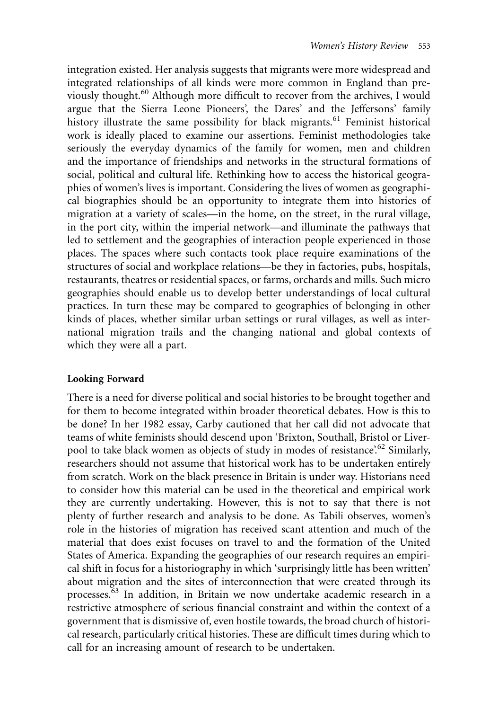integration existed. Her analysis suggests that migrants were more widespread and integrated relationships of all kinds were more common in England than previously thought.<sup>60</sup> Although more difficult to recover from the archives, I would argue that the Sierra Leone Pioneers', the Dares' and the Jeffersons' family history illustrate the same possibility for black migrants.<sup>61</sup> Feminist historical work is ideally placed to examine our assertions. Feminist methodologies take seriously the everyday dynamics of the family for women, men and children and the importance of friendships and networks in the structural formations of social, political and cultural life. Rethinking how to access the historical geographies of women's lives is important. Considering the lives of women as geographical biographies should be an opportunity to integrate them into histories of migration at a variety of scales—in the home, on the street, in the rural village, in the port city, within the imperial network—and illuminate the pathways that led to settlement and the geographies of interaction people experienced in those places. The spaces where such contacts took place require examinations of the structures of social and workplace relations—be they in factories, pubs, hospitals, restaurants, theatres or residential spaces, or farms, orchards and mills. Such micro geographies should enable us to develop better understandings of local cultural practices. In turn these may be compared to geographies of belonging in other kinds of places, whether similar urban settings or rural villages, as well as international migration trails and the changing national and global contexts of which they were all a part.

#### Looking Forward

There is a need for diverse political and social histories to be brought together and for them to become integrated within broader theoretical debates. How is this to be done? In her 1982 essay, Carby cautioned that her call did not advocate that teams of white feminists should descend upon 'Brixton, Southall, Bristol or Liverpool to take black women as objects of study in modes of resistance'.<sup>62</sup> Similarly, researchers should not assume that historical work has to be undertaken entirely from scratch. Work on the black presence in Britain is under way. Historians need to consider how this material can be used in the theoretical and empirical work they are currently undertaking. However, this is not to say that there is not plenty of further research and analysis to be done. As Tabili observes, women's role in the histories of migration has received scant attention and much of the material that does exist focuses on travel to and the formation of the United States of America. Expanding the geographies of our research requires an empirical shift in focus for a historiography in which 'surprisingly little has been written' about migration and the sites of interconnection that were created through its processes.<sup>63</sup> In addition, in Britain we now undertake academic research in a restrictive atmosphere of serious financial constraint and within the context of a government that is dismissive of, even hostile towards, the broad church of historical research, particularly critical histories. These are difficult times during which to call for an increasing amount of research to be undertaken.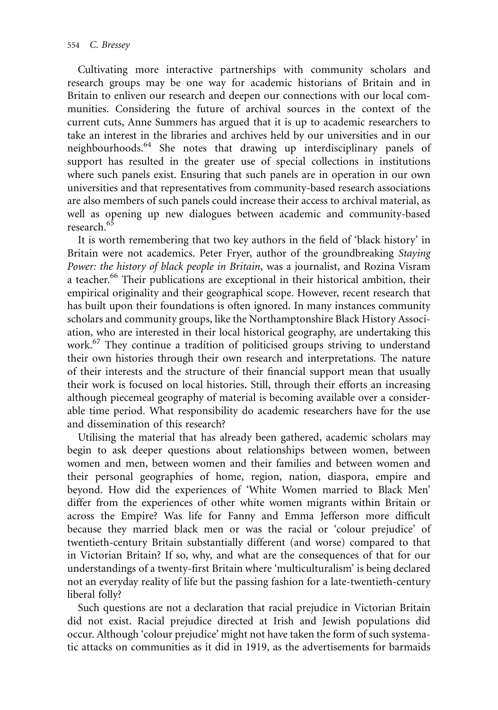Cultivating more interactive partnerships with community scholars and research groups may be one way for academic historians of Britain and in Britain to enliven our research and deepen our connections with our local communities. Considering the future of archival sources in the context of the current cuts, Anne Summers has argued that it is up to academic researchers to take an interest in the libraries and archives held by our universities and in our neighbourhoods.<sup>64</sup> She notes that drawing up interdisciplinary panels of support has resulted in the greater use of special collections in institutions where such panels exist. Ensuring that such panels are in operation in our own universities and that representatives from community-based research associations are also members of such panels could increase their access to archival material, as well as opening up new dialogues between academic and community-based research.<sup>65</sup>

It is worth remembering that two key authors in the field of 'black history' in Britain were not academics. Peter Fryer, author of the groundbreaking Staying Power: the history of black people in Britain, was a journalist, and Rozina Visram a teacher.<sup>66</sup> Their publications are exceptional in their historical ambition, their empirical originality and their geographical scope. However, recent research that has built upon their foundations is often ignored. In many instances community scholars and community groups, like the Northamptonshire Black History Association, who are interested in their local historical geography, are undertaking this work.<sup>67</sup> They continue a tradition of politicised groups striving to understand their own histories through their own research and interpretations. The nature of their interests and the structure of their financial support mean that usually their work is focused on local histories. Still, through their efforts an increasing although piecemeal geography of material is becoming available over a considerable time period. What responsibility do academic researchers have for the use and dissemination of this research?

Utilising the material that has already been gathered, academic scholars may begin to ask deeper questions about relationships between women, between women and men, between women and their families and between women and their personal geographies of home, region, nation, diaspora, empire and beyond. How did the experiences of 'White Women married to Black Men' differ from the experiences of other white women migrants within Britain or across the Empire? Was life for Fanny and Emma Jefferson more difficult because they married black men or was the racial or 'colour prejudice' of twentieth-century Britain substantially different (and worse) compared to that in Victorian Britain? If so, why, and what are the consequences of that for our understandings of a twenty-first Britain where 'multiculturalism' is being declared not an everyday reality of life but the passing fashion for a late-twentieth-century liberal folly?

Such questions are not a declaration that racial prejudice in Victorian Britain did not exist. Racial prejudice directed at Irish and Jewish populations did occur. Although 'colour prejudice' might not have taken the form of such systematic attacks on communities as it did in 1919, as the advertisements for barmaids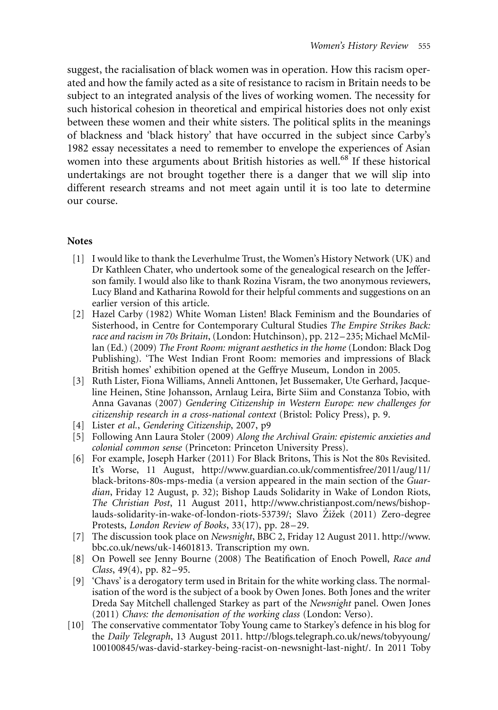suggest, the racialisation of black women was in operation. How this racism operated and how the family acted as a site of resistance to racism in Britain needs to be subject to an integrated analysis of the lives of working women. The necessity for such historical cohesion in theoretical and empirical histories does not only exist between these women and their white sisters. The political splits in the meanings of blackness and 'black history' that have occurred in the subject since Carby's 1982 essay necessitates a need to remember to envelope the experiences of Asian women into these arguments about British histories as well.<sup>68</sup> If these historical undertakings are not brought together there is a danger that we will slip into different research streams and not meet again until it is too late to determine our course.

### **Notes**

- [1] I would like to thank the Leverhulme Trust, the Women's History Network (UK) and Dr Kathleen Chater, who undertook some of the genealogical research on the Jefferson family. I would also like to thank Rozina Visram, the two anonymous reviewers, Lucy Bland and Katharina Rowold for their helpful comments and suggestions on an earlier version of this article.
- [2] Hazel Carby (1982) White Woman Listen! Black Feminism and the Boundaries of Sisterhood, in Centre for Contemporary Cultural Studies The Empire Strikes Back: race and racism in 70s Britain, (London: Hutchinson), pp. 212–235; Michael McMillan (Ed.) (2009) The Front Room: migrant aesthetics in the home (London: Black Dog Publishing). 'The West Indian Front Room: memories and impressions of Black British homes' exhibition opened at the Geffrye Museum, London in 2005.
- [3] Ruth Lister, Fiona Williams, Anneli Anttonen, Jet Bussemaker, Ute Gerhard, Jacqueline Heinen, Stine Johansson, Arnlaug Leira, Birte Siim and Constanza Tobio, with Anna Gavanas (2007) Gendering Citizenship in Western Europe: new challenges for citizenship research in a cross-national context (Bristol: Policy Press), p. 9.
- [4] Lister et al., Gendering Citizenship, 2007, p9
- [5] Following Ann Laura Stoler (2009) Along the Archival Grain: epistemic anxieties and colonial common sense (Princeton: Princeton University Press).
- [6] For example, Joseph Harker (2011) For Black Britons, This is Not the 80s Revisited. It's Worse, 11 August, [http://www.guardian.co.uk/commentisfree/2011/aug/11/](http://www.guardian.co.uk/commentisfree/2011/aug/11/black-britons-80s-mps-media) [black-britons-80s-mps-media](http://www.guardian.co.uk/commentisfree/2011/aug/11/black-britons-80s-mps-media) (a version appeared in the main section of the Guardian, Friday 12 August, p. 32); Bishop Lauds Solidarity in Wake of London Riots, The Christian Post, 11 August 2011, [http://www.christianpost.com/news/bishop](http://www.christianpost.com/news/bishop-lauds-solidarity-in-wake-of-london-riots-53739/)[lauds-solidarity-in-wake-of-london-riots-53739/;](http://www.christianpost.com/news/bishop-lauds-solidarity-in-wake-of-london-riots-53739/) Slavo Žižek (2011) Zero-degree Protests, London Review of Books, 33(17), pp. 28–29.
- [7] The discussion took place on Newsnight, BBC 2, Friday 12 August 2011. [http://www.](http://www.bbc.co.uk/news/uk-14601813) [bbc.co.uk/news/uk-14601813.](http://www.bbc.co.uk/news/uk-14601813) Transcription my own.
- [8] On Powell see Jenny Bourne (2008) The Beatification of Enoch Powell, Race and Class,  $49(4)$ , pp. 82–95.
- [9] 'Chavs' is a derogatory term used in Britain for the white working class. The normalisation of the word is the subject of a book by Owen Jones. Both Jones and the writer Dreda Say Mitchell challenged Starkey as part of the Newsnight panel. Owen Jones (2011) Chavs: the demonisation of the working class (London: Verso).
- [10] The conservative commentator Toby Young came to Starkey's defence in his blog for the Daily Telegraph, 13 August 2011. [http://blogs.telegraph.co.uk/news/tobyyoung/](http://blogs.telegraph.co.uk/news/tobyyoung/100100845/was-david-starkey-being-racist-on-newsnight-last-night/) [100100845/was-david-starkey-being-racist-on-newsnight-last-night/](http://blogs.telegraph.co.uk/news/tobyyoung/100100845/was-david-starkey-being-racist-on-newsnight-last-night/). In 2011 Toby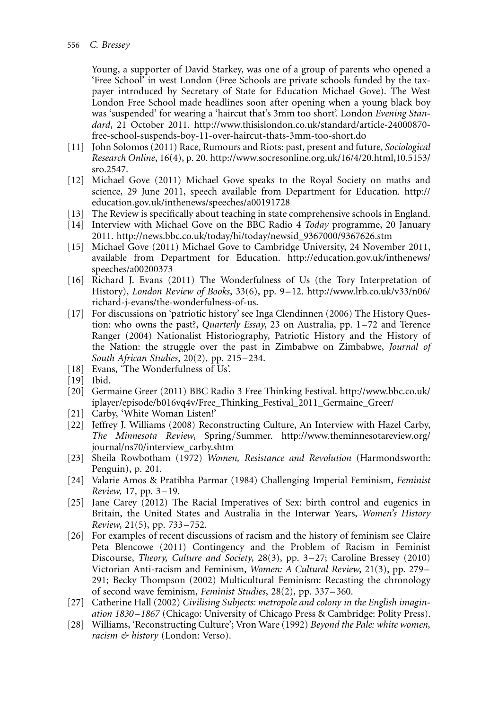Young, a supporter of David Starkey, was one of a group of parents who opened a 'Free School' in west London (Free Schools are private schools funded by the taxpayer introduced by Secretary of State for Education Michael Gove). The West London Free School made headlines soon after opening when a young black boy was 'suspended' for wearing a 'haircut that's 3mm too short'. London Evening Standard, 21 October 2011. [http://www.thisislondon.co.uk/standard/article-24000870](http://www.thisislondon.co.uk/standard/article-24000870-free-school-suspends-boy-11-over-haircut-thats-3mm-too-short.do) [free-school-suspends-boy-11-over-haircut-thats-3mm-too-short.do](http://www.thisislondon.co.uk/standard/article-24000870-free-school-suspends-boy-11-over-haircut-thats-3mm-too-short.do)

- [11] John Solomos (2011) Race, Rumours and Riots: past, present and future, Sociological Research Online, 16(4), p. 20. [http://www.socresonline.org.uk/16/4/20.html,10.5153/](http://www.socresonline.org.uk/16/4/20.html,10.5153/sro.2547) [sro.2547.](http://www.socresonline.org.uk/16/4/20.html,10.5153/sro.2547)
- [12] Michael Gove (2011) Michael Gove speaks to the Royal Society on maths and science, 29 June 2011, speech available from Department for Education. [http://](http://education.gov.uk/inthenews/speeches/a00191728) [education.gov.uk/inthenews/speeches/a00191728](http://education.gov.uk/inthenews/speeches/a00191728)
- [13] The Review is specifically about teaching in state comprehensive schools in England.
- [14] Interview with Michael Gove on the BBC Radio 4 Today programme, 20 January 2011. [http://news.bbc.co.uk/today/hi/today/newsid\\_9367000/9367626.stm](http://news.bbc.co.uk/today/hi/today/newsid_9367000/9367626.stm)
- [15] Michael Gove (2011) Michael Gove to Cambridge University, 24 November 2011, available from Department for Education. [http://education.gov.uk/inthenews/](http://education.gov.uk/inthenews/speeches/a00200373) [speeches/a00200373](http://education.gov.uk/inthenews/speeches/a00200373)
- [16] Richard J. Evans (2011) The Wonderfulness of Us (the Tory Interpretation of History), London Review of Books, 33(6), pp. 9–12. [http://www.lrb.co.uk/v33/n06/](http://www.lrb.co.uk/v33/n06/richard-j-evans/the-wonderfulness-of-us) [richard-j-evans/the-wonderfulness-of-us.](http://www.lrb.co.uk/v33/n06/richard-j-evans/the-wonderfulness-of-us)
- [17] For discussions on 'patriotic history' see Inga Clendinnen (2006) The History Question: who owns the past?, Quarterly Essay, 23 on Australia, pp. 1–72 and Terence Ranger (2004) Nationalist Historiography, Patriotic History and the History of the Nation: the struggle over the past in Zimbabwe on Zimbabwe, Journal of South African Studies, 20(2), pp. 215–234.
- [18] Evans, 'The Wonderfulness of Us'.
- [19] Ibid.
- [20] Germaine Greer (2011) BBC Radio 3 Free Thinking Festival. [http://www.bbc.co.uk/](http://www.bbc.co.uk/iplayer/episode/b016vq4v/Free_Thinking_Festival_2011_Germaine_Greer/) [iplayer/episode/b016vq4v/Free\\_Thinking\\_Festival\\_2011\\_Germaine\\_Greer/](http://www.bbc.co.uk/iplayer/episode/b016vq4v/Free_Thinking_Festival_2011_Germaine_Greer/)
- [21] Carby, 'White Woman Listen!'
- [22] Jeffrey J. Williams (2008) Reconstructing Culture, An Interview with Hazel Carby, The Minnesota Review, Spring/Summer. [http://www.theminnesotareview.org/](http://www.theminnesotareview.org/journal/ns70/interview_carby.shtm) [journal/ns70/interview\\_carby.shtm](http://www.theminnesotareview.org/journal/ns70/interview_carby.shtm)
- [23] Sheila Rowbotham (1972) Women, Resistance and Revolution (Harmondsworth: Penguin), p. 201.
- [24] Valarie Amos & Pratibha Parmar (1984) Challenging Imperial Feminism, Feminist Review, 17, pp. 3–19.
- [25] Jane Carey (2012) The Racial Imperatives of Sex: birth control and eugenics in Britain, the United States and Australia in the Interwar Years, Women's History Review, 21(5), pp. 733 –752.
- [26] For examples of recent discussions of racism and the history of feminism see Claire Peta Blencowe (2011) Contingency and the Problem of Racism in Feminist Discourse, Theory, Culture and Society, 28(3), pp. 3–27; Caroline Bressey (2010) Victorian Anti-racism and Feminism, Women: A Cultural Review, 21(3), pp. 279 – 291; Becky Thompson (2002) Multicultural Feminism: Recasting the chronology of second wave feminism, Feminist Studies, 28(2), pp. 337–360.
- [27] Catherine Hall (2002) Civilising Subjects: metropole and colony in the English imagination 1830 –1867 (Chicago: University of Chicago Press & Cambridge: Polity Press).
- [28] Williams, 'Reconstructing Culture'; Vron Ware (1992) Beyond the Pale: white women, racism & history (London: Verso).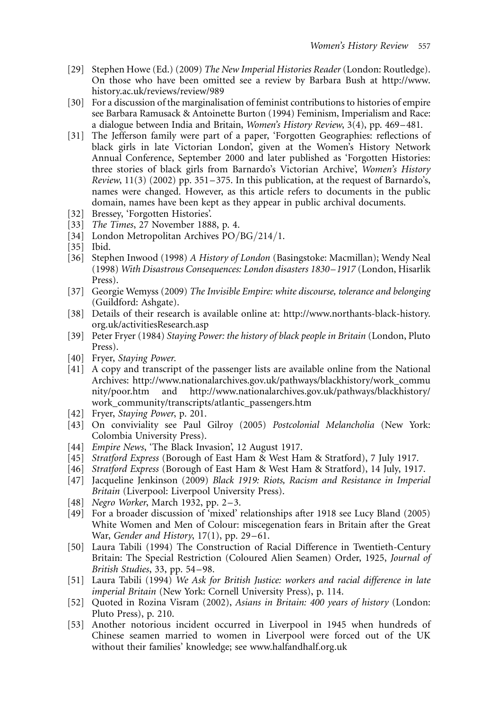- [29] Stephen Howe (Ed.) (2009) The New Imperial Histories Reader (London: Routledge). On those who have been omitted see a review by Barbara Bush at [http://www.](http://www.history.ac.uk/reviews/review/989) [history.ac.uk/reviews/review/989](http://www.history.ac.uk/reviews/review/989)
- [30] For a discussion of the marginalisation of feminist contributions to histories of empire see Barbara Ramusack & Antoinette Burton (1994) Feminism, Imperialism and Race: a dialogue between India and Britain, Women's History Review, 3(4), pp. 469–481.
- [31] The Jefferson family were part of a paper, 'Forgotten Geographies: reflections of black girls in late Victorian London', given at the Women's History Network Annual Conference, September 2000 and later published as 'Forgotten Histories: three stories of black girls from Barnardo's Victorian Archive', Women's History Review, 11(3) (2002) pp. 351–375. In this publication, at the request of Barnardo's, names were changed. However, as this article refers to documents in the public domain, names have been kept as they appear in public archival documents.
- [32] Bressey, 'Forgotten Histories'.
- [33] *The Times*, 27 November 1888, p. 4.
- [34] London Metropolitan Archives PO/BG/214/1.
- $\begin{bmatrix} 35 \end{bmatrix}$  Ibid.
- [36] Stephen Inwood (1998) A History of London (Basingstoke: Macmillan); Wendy Neal (1998) With Disastrous Consequences: London disasters 1830 –1917 (London, Hisarlik Press).
- [37] Georgie Wemyss (2009) The Invisible Empire: white discourse, tolerance and belonging (Guildford: Ashgate).
- [38] Details of their research is available online at: [http://www.northants-black-history.](http://www.northants-black-history.org.uk/activitiesResearch.asp) [org.uk/activitiesResearch.asp](http://www.northants-black-history.org.uk/activitiesResearch.asp)
- [39] Peter Fryer (1984) Staying Power: the history of black people in Britain (London, Pluto Press).
- [40] Fryer, Staying Power.
- [41] A copy and transcript of the passenger lists are available online from the National Archives: [http://www.nationalarchives.gov.uk/pathways/blackhistory/work\\_commu](http://www.nationalarchives.gov.uk/pathways/blackhistory/work_community/poor.htm) [nity/poor.htm](http://www.nationalarchives.gov.uk/pathways/blackhistory/work_community/poor.htm) and [http://www.nationalarchives.gov.uk/pathways/blackhistory/](http://www.nationalarchives.gov.uk/pathways/blackhistory/work_community/transcripts/atlantic_passengers.htm) [work\\_community/transcripts/atlantic\\_passengers.htm](http://www.nationalarchives.gov.uk/pathways/blackhistory/work_community/transcripts/atlantic_passengers.htm)
- [42] Fryer, Staying Power, p. 201.
- [43] On conviviality see Paul Gilroy (2005) Postcolonial Melancholia (New York: Colombia University Press).
- [44] *Empire News*, 'The Black Invasion', 12 August 1917.
- [45] Stratford Express (Borough of East Ham & West Ham & Stratford), 7 July 1917.
- [46] Stratford Express (Borough of East Ham & West Ham & Stratford), 14 July, 1917.
- [47] Jacqueline Jenkinson (2009) Black 1919: Riots, Racism and Resistance in Imperial Britain (Liverpool: Liverpool University Press).
- [48] *Negro Worker*, March 1932, pp. 2-3.
- [49] For a broader discussion of 'mixed' relationships after 1918 see Lucy Bland (2005) White Women and Men of Colour: miscegenation fears in Britain after the Great War, Gender and History,  $17(1)$ , pp. 29-61.
- [50] Laura Tabili (1994) The Construction of Racial Difference in Twentieth-Century Britain: The Special Restriction (Coloured Alien Seamen) Order, 1925, Journal of British Studies, 33, pp. 54-98.
- [51] Laura Tabili (1994) We Ask for British Justice: workers and racial difference in late imperial Britain (New York: Cornell University Press), p. 114.
- [52] Quoted in Rozina Visram (2002), Asians in Britain: 400 years of history (London: Pluto Press), p. 210.
- [53] Another notorious incident occurred in Liverpool in 1945 when hundreds of Chinese seamen married to women in Liverpool were forced out of the UK without their families' knowledge; see [www.halfandhalf.org.uk](http://www.halfandhalf.org.uk)